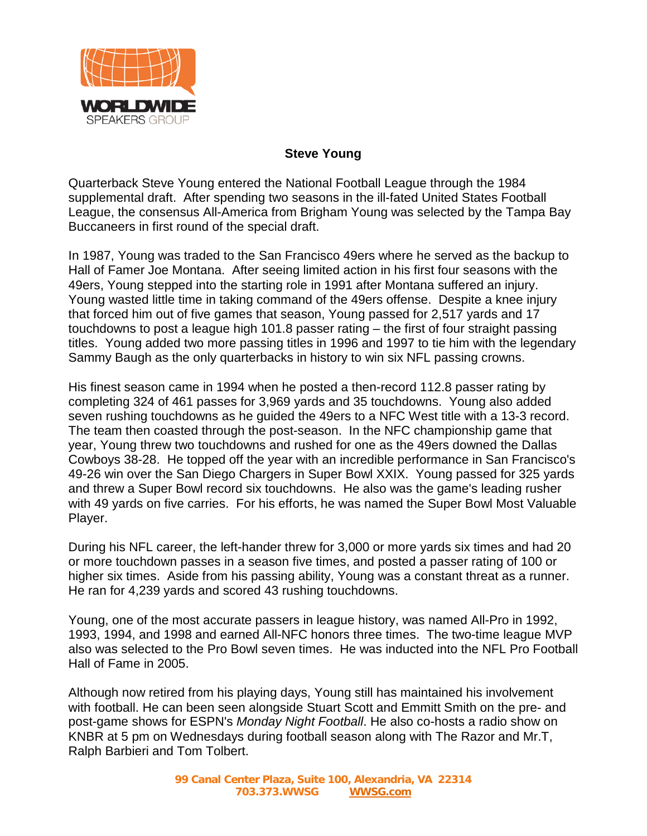

## **Steve Young**

Quarterback Steve Young entered the National Football League through the 1984 supplemental draft. After spending two seasons in the ill-fated United States Football League, the consensus All-America from Brigham Young was selected by the Tampa Bay Buccaneers in first round of the special draft.

In 1987, Young was traded to the San Francisco 49ers where he served as the backup to Hall of Famer Joe Montana. After seeing limited action in his first four seasons with the 49ers, Young stepped into the starting role in 1991 after Montana suffered an injury. Young wasted little time in taking command of the 49ers offense. Despite a knee injury that forced him out of five games that season, Young passed for 2,517 yards and 17 touchdowns to post a league high 101.8 passer rating – the first of four straight passing titles. Young added two more passing titles in 1996 and 1997 to tie him with the legendary Sammy Baugh as the only quarterbacks in history to win six NFL passing crowns.

His finest season came in 1994 when he posted a then-record 112.8 passer rating by completing 324 of 461 passes for 3,969 yards and 35 touchdowns. Young also added seven rushing touchdowns as he guided the 49ers to a NFC West title with a 13-3 record. The team then coasted through the post-season. In the NFC championship game that year, Young threw two touchdowns and rushed for one as the 49ers downed the Dallas Cowboys 38-28. He topped off the year with an incredible performance in San Francisco's 49-26 win over the San Diego Chargers in Super Bowl XXIX. Young passed for 325 yards and threw a Super Bowl record six touchdowns. He also was the game's leading rusher with 49 yards on five carries. For his efforts, he was named the Super Bowl Most Valuable Player.

During his NFL career, the left-hander threw for 3,000 or more yards six times and had 20 or more touchdown passes in a season five times, and posted a passer rating of 100 or higher six times. Aside from his passing ability, Young was a constant threat as a runner. He ran for 4,239 yards and scored 43 rushing touchdowns.

Young, one of the most accurate passers in league history, was named All-Pro in 1992, 1993, 1994, and 1998 and earned All-NFC honors three times. The two-time league MVP also was selected to the Pro Bowl seven times. He was inducted into the NFL Pro Football Hall of Fame in 2005.

Although now retired from his playing days, Young still has maintained his involvement with football. He can been seen alongside [Stuart Scott](http://en.wikipedia.org/wiki/Stuart_Scott) and [Emmitt Smith](http://en.wikipedia.org/wiki/Emmitt_Smith) on the pre- and post-game shows for [ESPN'](http://en.wikipedia.org/wiki/ESPN)s *Monday Night Football*. He also co-hosts a radio show on [KNBR](http://en.wikipedia.org/wiki/KNBR) at 5 pm on Wednesdays during football season along with The Razor and Mr.T, [Ralph Barbieri](http://en.wikipedia.org/wiki/Ralph_Barbieri) and [Tom Tolbert.](http://en.wikipedia.org/wiki/Tom_Tolbert)